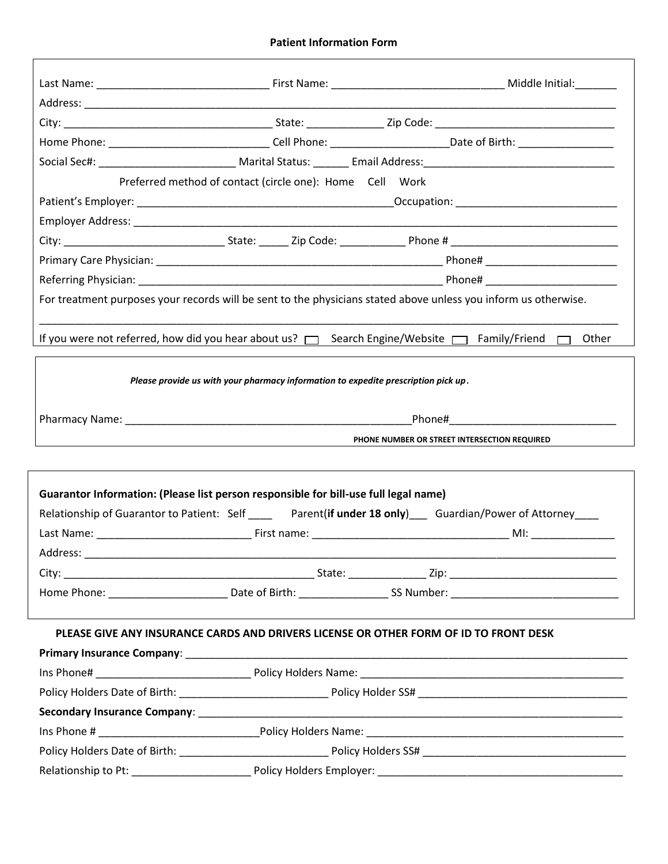## **Patient Information Form**

|                                                                                      |                                                                                    | Home Phone: Cell Phone: Call Phone: Date of Birth:                                                                  |
|--------------------------------------------------------------------------------------|------------------------------------------------------------------------------------|---------------------------------------------------------------------------------------------------------------------|
|                                                                                      |                                                                                    |                                                                                                                     |
|                                                                                      | Preferred method of contact (circle one): Home Cell Work                           |                                                                                                                     |
|                                                                                      |                                                                                    |                                                                                                                     |
|                                                                                      |                                                                                    |                                                                                                                     |
|                                                                                      |                                                                                    |                                                                                                                     |
|                                                                                      |                                                                                    |                                                                                                                     |
|                                                                                      |                                                                                    |                                                                                                                     |
|                                                                                      |                                                                                    | For treatment purposes your records will be sent to the physicians stated above unless you inform us otherwise.     |
|                                                                                      |                                                                                    |                                                                                                                     |
|                                                                                      |                                                                                    | If you were not referred, how did you hear about us? $\Box$ Search Engine/Website $\Box$ Family/Friend $\Box$ Other |
|                                                                                      |                                                                                    |                                                                                                                     |
|                                                                                      | Please provide us with your pharmacy information to expedite prescription pick up. |                                                                                                                     |
|                                                                                      |                                                                                    |                                                                                                                     |
|                                                                                      |                                                                                    |                                                                                                                     |
|                                                                                      |                                                                                    | PHONE NUMBER OR STREET INTERSECTION REQUIRED                                                                        |
|                                                                                      |                                                                                    |                                                                                                                     |
|                                                                                      |                                                                                    |                                                                                                                     |
| Guarantor Information: (Please list person responsible for bill-use full legal name) |                                                                                    |                                                                                                                     |
|                                                                                      |                                                                                    | Relationship of Guarantor to Patient: Self _____ Parent(if under 18 only) Guardian/Power of Attorney ____           |
|                                                                                      |                                                                                    | $M!$ : $\qquad \qquad$                                                                                              |
| Address:                                                                             |                                                                                    |                                                                                                                     |
|                                                                                      |                                                                                    |                                                                                                                     |
|                                                                                      |                                                                                    |                                                                                                                     |
|                                                                                      |                                                                                    |                                                                                                                     |
|                                                                                      |                                                                                    | PLEASE GIVE ANY INSURANCE CARDS AND DRIVERS LICENSE OR OTHER FORM OF ID TO FRONT DESK                               |
|                                                                                      |                                                                                    |                                                                                                                     |
|                                                                                      |                                                                                    |                                                                                                                     |
|                                                                                      |                                                                                    |                                                                                                                     |
|                                                                                      |                                                                                    |                                                                                                                     |
|                                                                                      |                                                                                    |                                                                                                                     |
|                                                                                      |                                                                                    |                                                                                                                     |
|                                                                                      |                                                                                    |                                                                                                                     |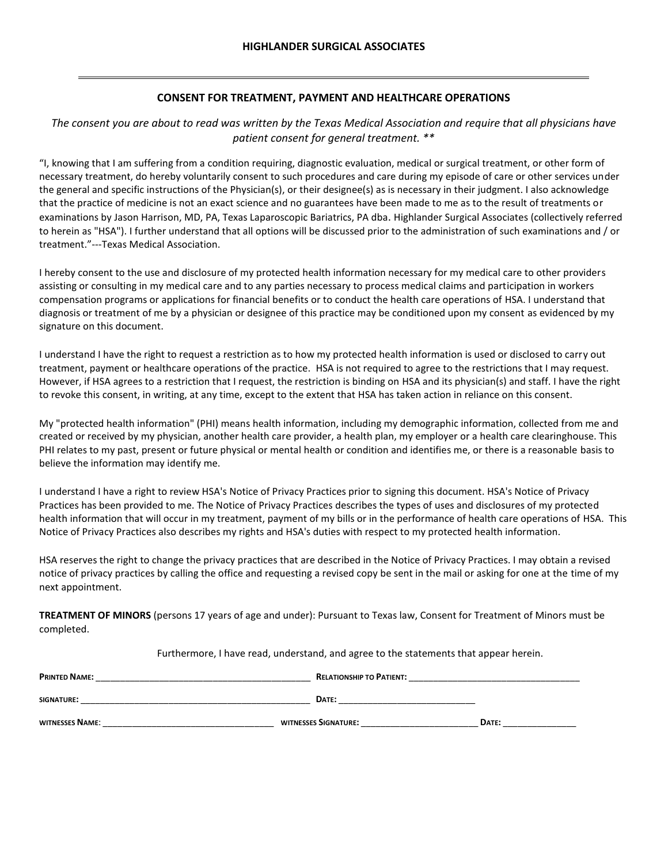## **CONSENT FOR TREATMENT, PAYMENT AND HEALTHCARE OPERATIONS**

## *The consent you are about to read was written by the Texas Medical Association and require that all physicians have patient consent for general treatment. \*\**

"I, knowing that I am suffering from a condition requiring, diagnostic evaluation, medical or surgical treatment, or other form of necessary treatment, do hereby voluntarily consent to such procedures and care during my episode of care or other services under the general and specific instructions of the Physician(s), or their designee(s) as is necessary in their judgment. I also acknowledge that the practice of medicine is not an exact science and no guarantees have been made to me as to the result of treatments or examinations by Jason Harrison, MD, PA, Texas Laparoscopic Bariatrics, PA dba. Highlander Surgical Associates (collectively referred to herein as "HSA"). I further understand that all options will be discussed prior to the administration of such examinations and / or treatment."---Texas Medical Association.

I hereby consent to the use and disclosure of my protected health information necessary for my medical care to other providers assisting or consulting in my medical care and to any parties necessary to process medical claims and participation in workers compensation programs or applications for financial benefits or to conduct the health care operations of HSA. I understand that diagnosis or treatment of me by a physician or designee of this practice may be conditioned upon my consent as evidenced by my signature on this document.

I understand I have the right to request a restriction as to how my protected health information is used or disclosed to carry out treatment, payment or healthcare operations of the practice. HSA is not required to agree to the restrictions that I may request. However, if HSA agrees to a restriction that I request, the restriction is binding on HSA and its physician(s) and staff. I have the right to revoke this consent, in writing, at any time, except to the extent that HSA has taken action in reliance on this consent.

My "protected health information" (PHI) means health information, including my demographic information, collected from me and created or received by my physician, another health care provider, a health plan, my employer or a health care clearinghouse. This PHI relates to my past, present or future physical or mental health or condition and identifies me, or there is a reasonable basis to believe the information may identify me.

I understand I have a right to review HSA's Notice of Privacy Practices prior to signing this document. HSA's Notice of Privacy Practices has been provided to me. The Notice of Privacy Practices describes the types of uses and disclosures of my protected health information that will occur in my treatment, payment of my bills or in the performance of health care operations of HSA. This Notice of Privacy Practices also describes my rights and HSA's duties with respect to my protected health information.

HSA reserves the right to change the privacy practices that are described in the Notice of Privacy Practices. I may obtain a revised notice of privacy practices by calling the office and requesting a revised copy be sent in the mail or asking for one at the time of my next appointment.

**TREATMENT OF MINORS** (persons 17 years of age and under): Pursuant to Texas law, Consent for Treatment of Minors must be completed.

Furthermore, I have read, understand, and agree to the statements that appear herein.

| PRINTED NAME:          | <b>RELATIONSHIP TO PATIENT:</b> |       |
|------------------------|---------------------------------|-------|
| <b>SIGNATURE:</b>      | DATE:                           |       |
| <b>WITNESSES NAME:</b> | WITNESSES SIGNATURE:            | DATE: |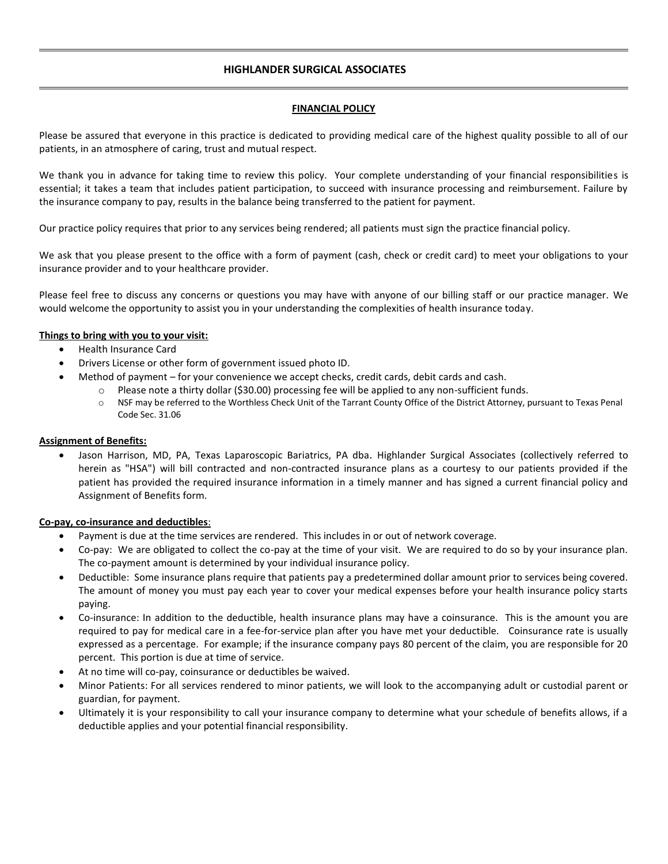## **HIGHLANDER SURGICAL ASSOCIATES**

### **FINANCIAL POLICY**

Please be assured that everyone in this practice is dedicated to providing medical care of the highest quality possible to all of our patients, in an atmosphere of caring, trust and mutual respect.

We thank you in advance for taking time to review this policy. Your complete understanding of your financial responsibilities is essential; it takes a team that includes patient participation, to succeed with insurance processing and reimbursement. Failure by the insurance company to pay, results in the balance being transferred to the patient for payment.

Our practice policy requires that prior to any services being rendered; all patients must sign the practice financial policy.

We ask that you please present to the office with a form of payment (cash, check or credit card) to meet your obligations to your insurance provider and to your healthcare provider.

Please feel free to discuss any concerns or questions you may have with anyone of our billing staff or our practice manager. We would welcome the opportunity to assist you in your understanding the complexities of health insurance today.

### **Things to bring with you to your visit:**

- Health Insurance Card
- Drivers License or other form of government issued photo ID.
	- Method of payment for your convenience we accept checks, credit cards, debit cards and cash.
		- o Please note a thirty dollar (\$30.00) processing fee will be applied to any non-sufficient funds.
			- o NSF may be referred to the Worthless Check Unit of the Tarrant County Office of the District Attorney, pursuant to Texas Penal Code Sec. 31.06

### **Assignment of Benefits:**

 Jason Harrison, MD, PA, Texas Laparoscopic Bariatrics, PA dba. Highlander Surgical Associates (collectively referred to herein as "HSA") will bill contracted and non-contracted insurance plans as a courtesy to our patients provided if the patient has provided the required insurance information in a timely manner and has signed a current financial policy and Assignment of Benefits form.

### **Co-pay, co-insurance and deductibles**:

- Payment is due at the time services are rendered. This includes in or out of network coverage.
- Co-pay: We are obligated to collect the co-pay at the time of your visit. We are required to do so by your insurance plan. The co-payment amount is determined by your individual insurance policy.
- Deductible: Some insurance plans require that patients pay a predetermined dollar amount prior to services being covered. The amount of money you must pay each year to cover your medical expenses before your health insurance policy starts paying.
- Co-insurance: In addition to the deductible, health insurance plans may have a coinsurance. This is the amount you are required to pay for medical care in a fee-for-service plan after you have met your deductible. Coinsurance rate is usually expressed as a percentage. For example; if the insurance company pays 80 percent of the claim, you are responsible for 20 percent. This portion is due at time of service.
- At no time will co-pay, coinsurance or deductibles be waived.
- Minor Patients: For all services rendered to minor patients, we will look to the accompanying adult or custodial parent or guardian, for payment.
- Ultimately it is your responsibility to call your insurance company to determine what your schedule of benefits allows, if a deductible applies and your potential financial responsibility.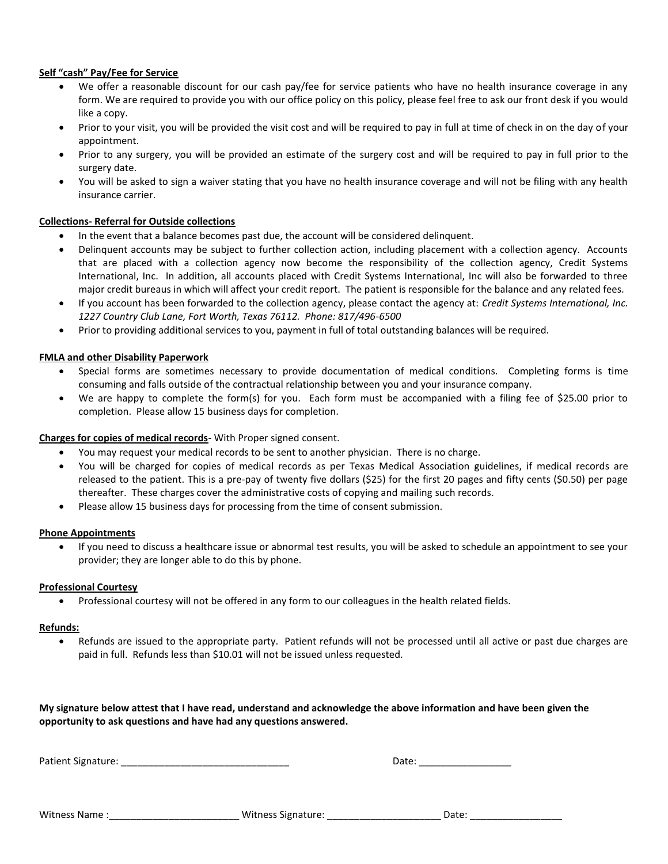### **Self "cash" Pay/Fee for Service**

- We offer a reasonable discount for our cash pay/fee for service patients who have no health insurance coverage in any form. We are required to provide you with our office policy on this policy, please feel free to ask our front desk if you would like a copy.
- Prior to your visit, you will be provided the visit cost and will be required to pay in full at time of check in on the day of your appointment.
- Prior to any surgery, you will be provided an estimate of the surgery cost and will be required to pay in full prior to the surgery date.
- You will be asked to sign a waiver stating that you have no health insurance coverage and will not be filing with any health insurance carrier.

### **Collections- Referral for Outside collections**

- In the event that a balance becomes past due, the account will be considered delinquent.
- Delinquent accounts may be subject to further collection action, including placement with a collection agency. Accounts that are placed with a collection agency now become the responsibility of the collection agency, Credit Systems International, Inc. In addition, all accounts placed with Credit Systems International, Inc will also be forwarded to three major credit bureaus in which will affect your credit report. The patient is responsible for the balance and any related fees.
- If you account has been forwarded to the collection agency, please contact the agency at: *Credit Systems International, Inc. 1227 Country Club Lane, Fort Worth, Texas 76112. Phone: 817/496-6500*
- Prior to providing additional services to you, payment in full of total outstanding balances will be required.

#### **FMLA and other Disability Paperwork**

- Special forms are sometimes necessary to provide documentation of medical conditions. Completing forms is time consuming and falls outside of the contractual relationship between you and your insurance company.
- We are happy to complete the form(s) for you. Each form must be accompanied with a filing fee of \$25.00 prior to completion. Please allow 15 business days for completion.

#### **Charges for copies of medical records**- With Proper signed consent.

- You may request your medical records to be sent to another physician. There is no charge.
- You will be charged for copies of medical records as per Texas Medical Association guidelines, if medical records are released to the patient. This is a pre-pay of twenty five dollars (\$25) for the first 20 pages and fifty cents (\$0.50) per page thereafter. These charges cover the administrative costs of copying and mailing such records.
- Please allow 15 business days for processing from the time of consent submission.

#### **Phone Appointments**

 If you need to discuss a healthcare issue or abnormal test results, you will be asked to schedule an appointment to see your provider; they are longer able to do this by phone.

#### **Professional Courtesy**

Professional courtesy will not be offered in any form to our colleagues in the health related fields.

#### **Refunds:**

 Refunds are issued to the appropriate party. Patient refunds will not be processed until all active or past due charges are paid in full. Refunds less than \$10.01 will not be issued unless requested.

**My signature below attest that I have read, understand and acknowledge the above information and have been given the opportunity to ask questions and have had any questions answered.**

Patient Signature: \_\_\_\_\_\_\_\_\_\_\_\_\_\_\_\_\_\_\_\_\_\_\_\_\_\_\_\_\_\_\_ Date: \_\_\_\_\_\_\_\_\_\_\_\_\_\_\_\_\_

| Date: |  |
|-------|--|
|       |  |

|  | <b>Witness Name</b> | Witness Signature: |  | Date |  |
|--|---------------------|--------------------|--|------|--|
|--|---------------------|--------------------|--|------|--|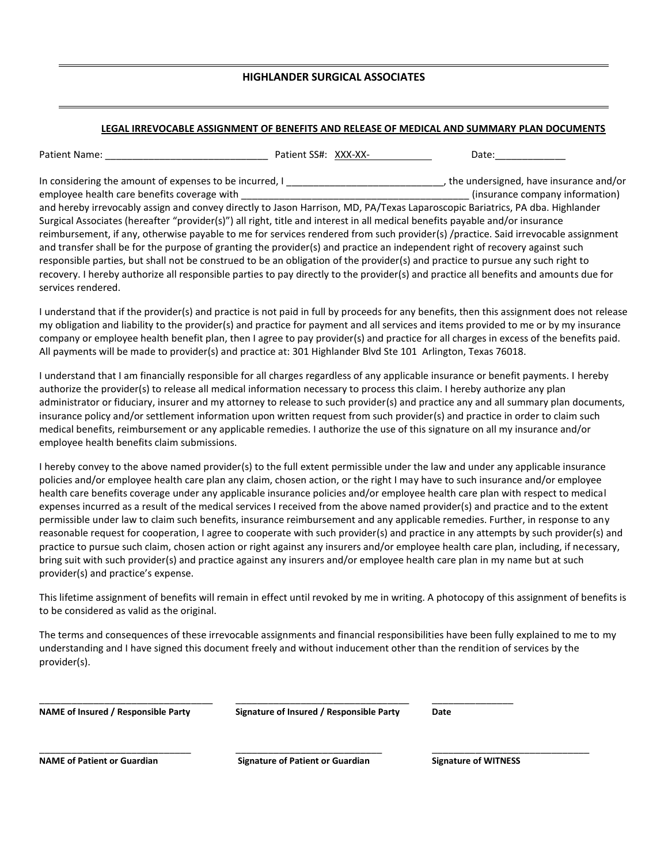### **HIGHLANDER SURGICAL ASSOCIATES**

### **LEGAL IRREVOCABLE ASSIGNMENT OF BENEFITS AND RELEASE OF MEDICAL AND SUMMARY PLAN DOCUMENTS**

Patient Name: example and the Patient SS#: XXX-XX- and Date:

In considering the amount of expenses to be incurred, I considering the undersigned, have insurance and/or employee health care benefits coverage with **the company information** (insurance company information) and hereby irrevocably assign and convey directly to Jason Harrison, MD, PA/Texas Laparoscopic Bariatrics, PA dba. Highlander Surgical Associates (hereafter "provider(s)") all right, title and interest in all medical benefits payable and/or insurance reimbursement, if any, otherwise payable to me for services rendered from such provider(s) /practice. Said irrevocable assignment and transfer shall be for the purpose of granting the provider(s) and practice an independent right of recovery against such responsible parties, but shall not be construed to be an obligation of the provider(s) and practice to pursue any such right to recovery. I hereby authorize all responsible parties to pay directly to the provider(s) and practice all benefits and amounts due for services rendered.

I understand that if the provider(s) and practice is not paid in full by proceeds for any benefits, then this assignment does not release my obligation and liability to the provider(s) and practice for payment and all services and items provided to me or by my insurance company or employee health benefit plan, then I agree to pay provider(s) and practice for all charges in excess of the benefits paid. All payments will be made to provider(s) and practice at: 301 Highlander Blvd Ste 101 Arlington, Texas 76018.

I understand that I am financially responsible for all charges regardless of any applicable insurance or benefit payments. I hereby authorize the provider(s) to release all medical information necessary to process this claim. I hereby authorize any plan administrator or fiduciary, insurer and my attorney to release to such provider(s) and practice any and all summary plan documents, insurance policy and/or settlement information upon written request from such provider(s) and practice in order to claim such medical benefits, reimbursement or any applicable remedies. I authorize the use of this signature on all my insurance and/or employee health benefits claim submissions.

I hereby convey to the above named provider(s) to the full extent permissible under the law and under any applicable insurance policies and/or employee health care plan any claim, chosen action, or the right I may have to such insurance and/or employee health care benefits coverage under any applicable insurance policies and/or employee health care plan with respect to medical expenses incurred as a result of the medical services I received from the above named provider(s) and practice and to the extent permissible under law to claim such benefits, insurance reimbursement and any applicable remedies. Further, in response to any reasonable request for cooperation, I agree to cooperate with such provider(s) and practice in any attempts by such provider(s) and practice to pursue such claim, chosen action or right against any insurers and/or employee health care plan, including, if necessary, bring suit with such provider(s) and practice against any insurers and/or employee health care plan in my name but at such provider(s) and practice's expense.

This lifetime assignment of benefits will remain in effect until revoked by me in writing. A photocopy of this assignment of benefits is to be considered as valid as the original.

The terms and consequences of these irrevocable assignments and financial responsibilities have been fully explained to me to my understanding and I have signed this document freely and without inducement other than the rendition of services by the provider(s).

\_\_\_\_\_\_\_\_\_\_\_\_\_\_\_\_\_\_\_\_\_\_\_\_\_\_\_\_\_\_\_\_ \_\_\_\_\_\_\_\_\_\_\_\_\_\_\_\_\_\_\_\_\_\_\_\_\_\_\_\_\_\_\_\_ \_\_\_\_\_\_\_\_\_\_\_\_\_\_\_ **NAME of Insured / Responsible Party Signature of Insured / Responsible Party Date**

**NAME of Patient or Guardian Signature of Patient or Guardian Signature of WITNESS**

\_\_\_\_\_\_\_\_\_\_\_\_\_\_\_\_\_\_\_\_\_\_\_\_\_\_\_\_ \_\_\_\_\_\_\_\_\_\_\_\_\_\_\_\_\_\_\_\_\_\_\_\_\_\_\_ \_\_\_\_\_\_\_\_\_\_\_\_\_\_\_\_\_\_\_\_\_\_\_\_\_\_\_\_\_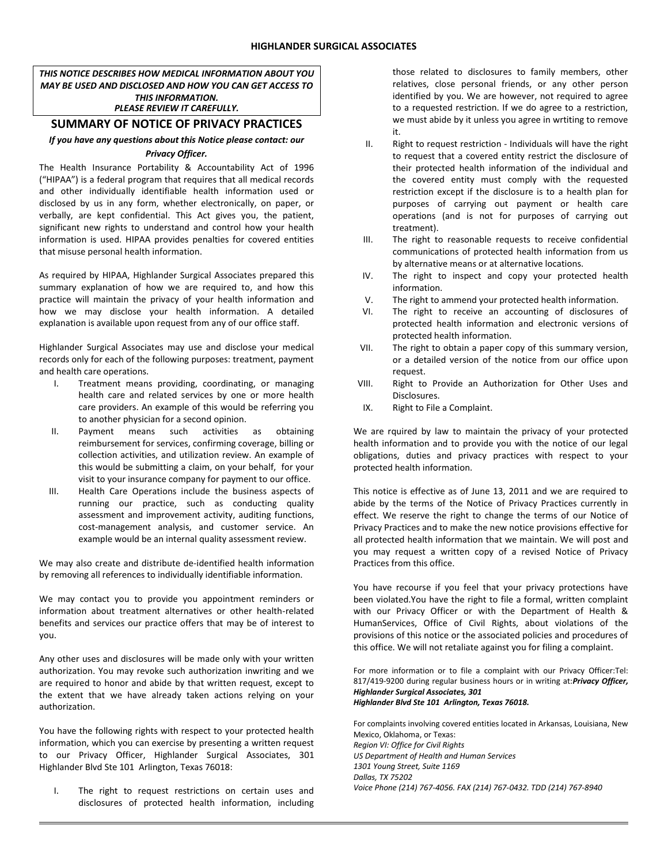*THIS NOTICE DESCRIBES HOW MEDICAL INFORMATION ABOUT YOU MAY BE USED AND DISCLOSED AND HOW YOU CAN GET ACCESS TO THIS INFORMATION. PLEASE REVIEW IT CAREFULLY.*

### **SUMMARY OF NOTICE OF PRIVACY PRACTICES**

### *If you have any questions about this Notice please contact: our Privacy Officer.*

The Health Insurance Portability & Accountability Act of 1996 ("HIPAA") is a federal program that requires that all medical records and other individually identifiable health information used or disclosed by us in any form, whether electronically, on paper, or verbally, are kept confidential. This Act gives you, the patient, significant new rights to understand and control how your health information is used. HIPAA provides penalties for covered entities that misuse personal health information.

As required by HIPAA, Highlander Surgical Associates prepared this summary explanation of how we are required to, and how this practice will maintain the privacy of your health information and how we may disclose your health information. A detailed explanation is available upon request from any of our office staff.

Highlander Surgical Associates may use and disclose your medical records only for each of the following purposes: treatment, payment and health care operations.

- I. Treatment means providing, coordinating, or managing health care and related services by one or more health care providers. An example of this would be referring you to another physician for a second opinion.
- II. Payment means such activities as obtaining reimbursement for services, confirming coverage, billing or collection activities, and utilization review. An example of this would be submitting a claim, on your behalf, for your visit to your insurance company for payment to our office.
- III. Health Care Operations include the business aspects of running our practice, such as conducting quality assessment and improvement activity, auditing functions, cost-management analysis, and customer service. An example would be an internal quality assessment review.

We may also create and distribute de-identified health information by removing all references to individually identifiable information.

We may contact you to provide you appointment reminders or information about treatment alternatives or other health-related benefits and services our practice offers that may be of interest to you.

Any other uses and disclosures will be made only with your written authorization. You may revoke such authorization inwriting and we are required to honor and abide by that written request, except to the extent that we have already taken actions relying on your authorization.

You have the following rights with respect to your protected health information, which you can exercise by presenting a written request to our Privacy Officer, Highlander Surgical Associates, 301 Highlander Blvd Ste 101 Arlington, Texas 76018:

I. The right to request restrictions on certain uses and disclosures of protected health information, including those related to disclosures to family members, other relatives, close personal friends, or any other person identified by you. We are however, not required to agree to a requested restriction. If we do agree to a restriction, we must abide by it unless you agree in wrtiting to remove it.

- II. Right to request restriction Individuals will have the right to request that a covered entity restrict the disclosure of their protected health information of the individual and the covered entity must comply with the requested restriction except if the disclosure is to a health plan for purposes of carrying out payment or health care operations (and is not for purposes of carrying out treatment).
- III. The right to reasonable requests to receive confidential communications of protected health information from us by alternative means or at alternative locations.
- IV. The right to inspect and copy your protected health information.
- V. The right to ammend your protected health information.
- VI. The right to receive an accounting of disclosures of protected health information and electronic versions of protected health information.
- VII. The right to obtain a paper copy of this summary version, or a detailed version of the notice from our office upon request.
- VIII. Right to Provide an Authorization for Other Uses and Disclosures.
- IX. Right to File a Complaint.

We are rquired by law to maintain the privacy of your protected health information and to provide you with the notice of our legal obligations, duties and privacy practices with respect to your protected health information.

This notice is effective as of June 13, 2011 and we are required to abide by the terms of the Notice of Privacy Practices currently in effect. We reserve the right to change the terms of our Notice of Privacy Practices and to make the new notice provisions effective for all protected health information that we maintain. We will post and you may request a written copy of a revised Notice of Privacy Practices from this office.

You have recourse if you feel that your privacy protections have been violated.You have the right to file a formal, written complaint with our Privacy Officer or with the Department of Health & HumanServices, Office of Civil Rights, about violations of the provisions of this notice or the associated policies and procedures of this office. We will not retaliate against you for filing a complaint.

For more information or to file a complaint with our Privacy Officer:Tel: 817/419-9200 during regular business hours or in writing at:*Privacy Officer, Highlander Surgical Associates, 301 Highlander Blvd Ste 101 Arlington, Texas 76018.*

For complaints involving covered entities located in Arkansas, Louisiana, New Mexico, Oklahoma, or Texas: *Region VI: Office for Civil Rights US Department of Health and Human Services 1301 Young Street, Suite 1169 Dallas, TX 75202 Voice Phone (214) 767-4056. FAX (214) 767-0432. TDD (214) 767-8940*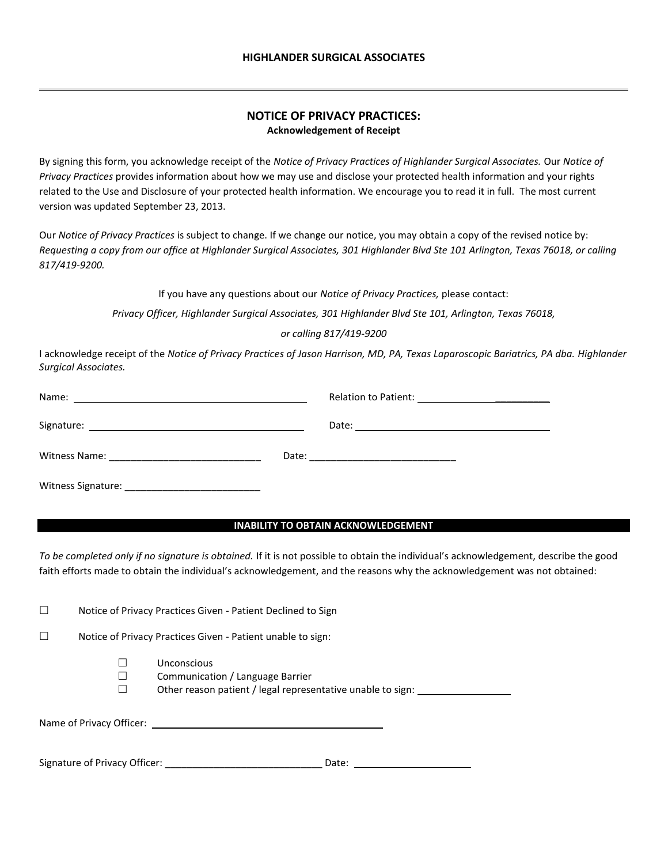## **NOTICE OF PRIVACY PRACTICES: Acknowledgement of Receipt**

By signing this form, you acknowledge receipt of the *Notice of Privacy Practices of Highlander Surgical Associates.* Our *Notice of Privacy Practices* provides information about how we may use and disclose your protected health information and your rights related to the Use and Disclosure of your protected health information. We encourage you to read it in full. The most current version was updated September 23, 2013.

Our *Notice of Privacy Practices* is subject to change. If we change our notice, you may obtain a copy of the revised notice by: *Requesting a copy from our office at Highlander Surgical Associates, 301 Highlander Blvd Ste 101 Arlington, Texas 76018, or calling 817/419-9200.*

If you have any questions about our *Notice of Privacy Practices,* please contact:

*Privacy Officer, Highlander Surgical Associates, 301 Highlander Blvd Ste 101, Arlington, Texas 76018,* 

#### *or calling 817/419-9200*

I acknowledge receipt of the *Notice of Privacy Practices of Jason Harrison, MD, PA, Texas Laparoscopic Bariatrics, PA dba. Highlander Surgical Associates.*

| Witness Signature: |  |
|--------------------|--|

#### **INABILITY TO OBTAIN ACKNOWLEDGEMENT**

*To be completed only if no signature is obtained.* If it is not possible to obtain the individual's acknowledgement, describe the good faith efforts made to obtain the individual's acknowledgement, and the reasons why the acknowledgement was not obtained:

□ Notice of Privacy Practices Given - Patient Declined to Sign

 $\square$  Notice of Privacy Practices Given - Patient unable to sign:

- Unconscious
- $\square$  Communication / Language Barrier
- □ Other reason patient / legal representative unable to sign: \_\_\_\_\_\_\_\_\_\_\_\_\_\_\_\_\_

Name of Privacy Officer:

Signature of Privacy Officer: \_\_\_\_\_\_\_\_\_\_\_\_\_\_\_\_\_\_\_\_\_\_\_\_\_\_\_\_\_ Date: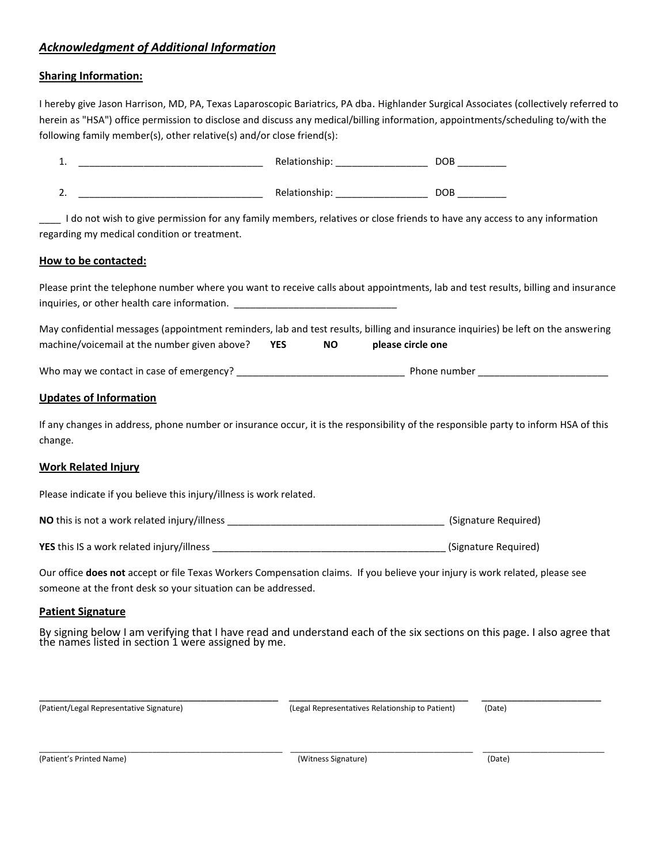## *Acknowledgment of Additional Information*

## **Sharing Information:**

I hereby give Jason Harrison, MD, PA, Texas Laparoscopic Bariatrics, PA dba. Highlander Surgical Associates (collectively referred to herein as "HSA") office permission to disclose and discuss any medical/billing information, appointments/scheduling to/with the following family member(s), other relative(s) and/or close friend(s):

| 1.                                                                                                                                                                                                                    |           | Relationship: ____________________ |  |
|-----------------------------------------------------------------------------------------------------------------------------------------------------------------------------------------------------------------------|-----------|------------------------------------|--|
| 2.                                                                                                                                                                                                                    |           |                                    |  |
| I do not wish to give permission for any family members, relatives or close friends to have any access to any information<br>regarding my medical condition or treatment.                                             |           |                                    |  |
| How to be contacted:                                                                                                                                                                                                  |           |                                    |  |
| Please print the telephone number where you want to receive calls about appointments, lab and test results, billing and insurance<br>inquiries, or other health care information. ___________________________________ |           |                                    |  |
| May confidential messages (appointment reminders, lab and test results, billing and insurance inquiries) be left on the answering<br>machine/voicemail at the number given above? YES                                 | <b>NO</b> | please circle one                  |  |
|                                                                                                                                                                                                                       |           |                                    |  |
| <b>Updates of Information</b>                                                                                                                                                                                         |           |                                    |  |
| If any changes in address, phone number or insurance occur, it is the responsibility of the responsible party to inform HSA of this<br>change.                                                                        |           |                                    |  |
| <b>Work Related Injury</b>                                                                                                                                                                                            |           |                                    |  |
| Please indicate if you believe this injury/illness is work related.                                                                                                                                                   |           |                                    |  |
| (Signature Required) (Signature Required)                                                                                                                                                                             |           |                                    |  |

**YES** this IS a work related injury/illness **and the set of the set of the set of the set of the set of the set of the set of the set of the sequired)** 

Our office **does not** accept or file Texas Workers Compensation claims. If you believe your injury is work related, please see someone at the front desk so your situation can be addressed.

## **Patient Signature**

By signing below I am verifying that I have read and understand each of the six sections on this page. I also agree that the names listed in section 1 were assigned by me.

\_\_\_\_\_\_\_\_\_\_\_\_\_\_\_\_\_\_\_\_\_\_\_\_\_\_\_\_\_\_\_\_\_\_\_\_\_\_\_\_ \_\_\_\_\_\_\_\_\_\_\_\_\_\_\_\_\_\_\_\_\_\_\_\_\_\_\_\_\_\_ \_\_\_\_\_\_\_\_\_\_\_\_\_\_\_\_\_\_\_\_ (Patient/Legal Representative Signature) (Legal Representatives Relationship to Patient) (Date)

(Patient's Printed Name) (Witness Signature) (Date)

\_\_\_\_\_\_\_\_\_\_\_\_\_\_\_\_\_\_\_\_\_\_\_\_\_\_\_\_\_\_\_\_\_\_\_\_\_\_\_\_\_\_\_\_\_\_\_\_\_\_\_\_\_\_\_\_ \_\_\_\_\_\_\_\_\_\_\_\_\_\_\_\_\_\_\_\_\_\_\_\_\_\_\_\_\_\_\_\_\_\_\_\_\_\_\_\_\_\_ \_\_\_\_\_\_\_\_\_\_\_\_\_\_\_\_\_\_\_\_\_\_\_\_\_\_\_\_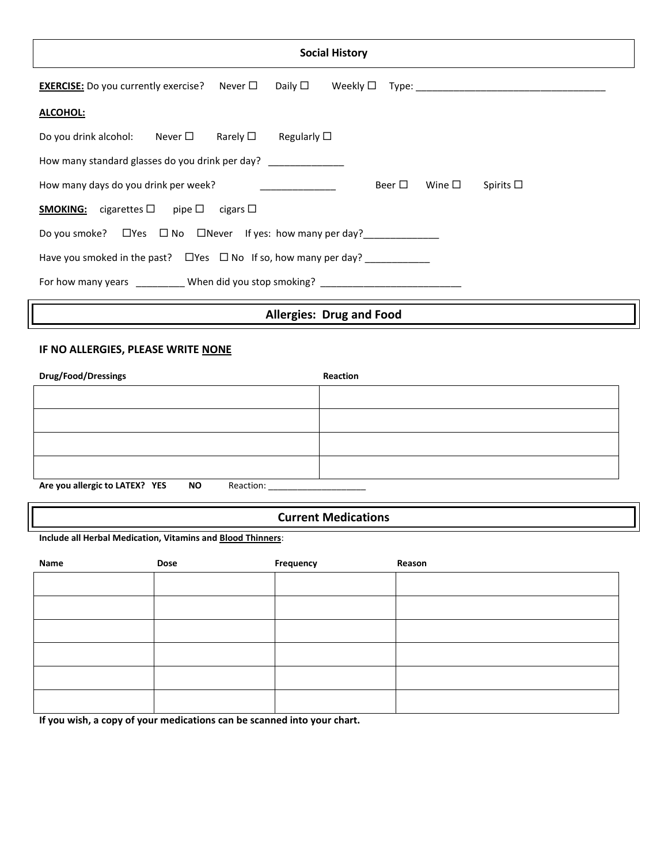| <b>Social History</b>                                                                                                                |  |  |  |  |  |
|--------------------------------------------------------------------------------------------------------------------------------------|--|--|--|--|--|
| <b>EXERCISE:</b> Do you currently exercise? Never $\Box$<br>Daily $\Box$<br>Weekly $\Box$                                            |  |  |  |  |  |
| ALCOHOL:                                                                                                                             |  |  |  |  |  |
| Do you drink alcohol: Never $\square$ Rarely $\square$<br>Regularly $\square$                                                        |  |  |  |  |  |
| How many standard glasses do you drink per day? _______________                                                                      |  |  |  |  |  |
| Beer $\square$<br>Wine $\Box$<br>How many days do you drink per week?<br>Spirits $\square$<br><u> The Community of the Community</u> |  |  |  |  |  |
| <b>SMOKING:</b> cigarettes $\Box$ pipe $\Box$ cigars $\Box$                                                                          |  |  |  |  |  |
| Do you smoke? □ Yes □ No □ Never If yes: how many per day? ______________                                                            |  |  |  |  |  |
| Have you smoked in the past? $\Box$ Yes $\Box$ No If so, how many per day?                                                           |  |  |  |  |  |
| For how many years ____________ When did you stop smoking? ______________________                                                    |  |  |  |  |  |

# **Allergies: Drug and Food**

# **IF NO ALLERGIES, PLEASE WRITE NONE**

| Drug/Food/Dressings                                      | Reaction |
|----------------------------------------------------------|----------|
|                                                          |          |
|                                                          |          |
|                                                          |          |
|                                                          |          |
|                                                          |          |
| Are you allergic to LATEX? YES<br><b>NO</b><br>Reaction: |          |

## **Current Medications**

**Include all Herbal Medication, Vitamins and Blood Thinners**:

| Name | Dose | Frequency | Reason |
|------|------|-----------|--------|
|      |      |           |        |
|      |      |           |        |
|      |      |           |        |
|      |      |           |        |
|      |      |           |        |
|      |      |           |        |

**If you wish, a copy of your medications can be scanned into your chart.**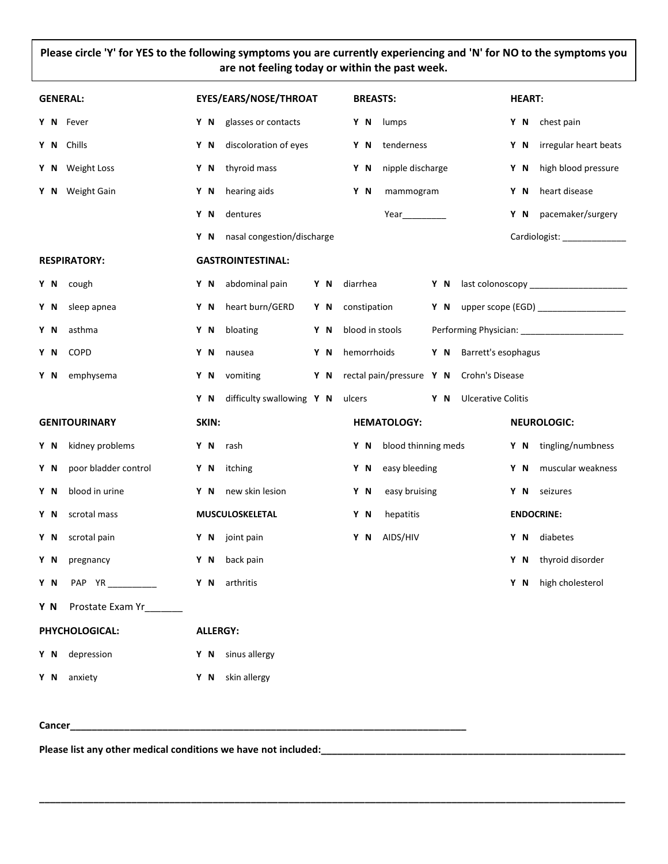## **Please circle 'Y' for YES to the following symptoms you are currently experiencing and 'N' for NO to the symptoms you are not feeling today or within the past week.**

| <b>GENERAL:</b>                 | EYES/EARS/NOSE/THROAT             | <b>BREASTS:</b>                                 | <b>HEART:</b>                                 |
|---------------------------------|-----------------------------------|-------------------------------------------------|-----------------------------------------------|
| Y N Fever                       | Y N glasses or contacts           | Y N lumps                                       | Y N chest pain                                |
| Y N Chills                      | discoloration of eyes<br>Y N      | tenderness<br>Y N                               | irregular heart beats<br>Y N                  |
| Y N Weight Loss                 | thyroid mass<br>Y N               | nipple discharge<br>Y N                         | high blood pressure<br>Y N                    |
| Y N Weight Gain                 | hearing aids<br>Y N               | mammogram<br>Y N                                | heart disease<br>Y N                          |
|                                 | dentures<br>Y N                   |                                                 | Y N pacemaker/surgery                         |
|                                 | nasal congestion/discharge<br>Y N |                                                 | Cardiologist: _______________                 |
| <b>RESPIRATORY:</b>             | <b>GASTROINTESTINAL:</b>          |                                                 |                                               |
| Y N cough                       | abdominal pain<br>Y N             | Y N<br>diarrhea                                 |                                               |
| sleep apnea<br>Y N              | heart burn/GERD<br>Y N            | Y N<br>constipation                             | Y N upper scope (EGD) ____________________    |
| asthma<br>Y N                   | bloating<br>Y N                   | blood in stools<br>Y N                          | Performing Physician: _______________________ |
| COPD<br>Y N                     | Y N<br>nausea                     | hemorrhoids<br>Y N                              | Y N Barrett's esophagus                       |
| emphysema<br>Y N                | vomiting<br>Y N                   | Y N<br>rectal pain/pressure Y N Crohn's Disease |                                               |
|                                 | difficulty swallowing Y N<br>Y N  | ulcers<br>Y N                                   | <b>Ulcerative Colitis</b>                     |
| <b>GENITOURINARY</b>            | SKIN:                             | <b>HEMATOLOGY:</b>                              | <b>NEUROLOGIC:</b>                            |
| kidney problems<br>Y N          | Y N<br>rash                       | blood thinning meds<br>Y N                      | Y N tingling/numbness                         |
| poor bladder control<br>Y N     | itching<br>Y N                    | easy bleeding<br>Y N                            | Y N muscular weakness                         |
| blood in urine<br>Y N           | new skin lesion<br>Y N            | easy bruising<br>Y N                            | Y N seizures                                  |
| scrotal mass<br>Y N             | MUSCULOSKELETAL                   | hepatitis<br>Y N                                | <b>ENDOCRINE:</b>                             |
| scrotal pain<br>Y N             | Y N joint pain                    | Y N AIDS/HIV                                    | diabetes<br>Y N                               |
| Y N<br>pregnancy                | back pain<br>Y N                  |                                                 | Y N thyroid disorder                          |
| PAP YR________<br>Y N           | Y N<br>arthritis                  |                                                 | Y N high cholesterol                          |
| Prostate Exam Yr________<br>Y N |                                   |                                                 |                                               |
| PHYCHOLOGICAL:                  | <b>ALLERGY:</b>                   |                                                 |                                               |
| Y N depression                  | Y N sinus allergy                 |                                                 |                                               |
| Y N anxiety                     | Y N skin allergy                  |                                                 |                                               |

**\_\_\_\_\_\_\_\_\_\_\_\_\_\_\_\_\_\_\_\_\_\_\_\_\_\_\_\_\_\_\_\_\_\_\_\_\_\_\_\_\_\_\_\_\_\_\_\_\_\_\_\_\_\_\_\_\_\_\_\_\_\_\_\_\_\_\_\_\_\_\_\_\_\_\_\_\_\_\_\_\_\_\_\_\_\_\_\_\_\_\_\_\_\_\_\_\_\_\_\_\_\_\_\_\_\_\_\_**

#### **Cancer\_\_\_\_\_\_\_\_\_\_\_\_\_\_\_\_\_\_\_\_\_\_\_\_\_\_\_\_\_\_\_\_\_\_\_\_\_\_\_\_\_\_\_\_\_\_\_\_\_\_\_\_\_\_\_\_\_\_\_\_\_\_\_\_\_\_\_\_\_\_\_\_\_**

Please list any other medical conditions we have not included: \_\_\_\_\_\_\_\_\_\_\_\_\_\_\_\_\_\_